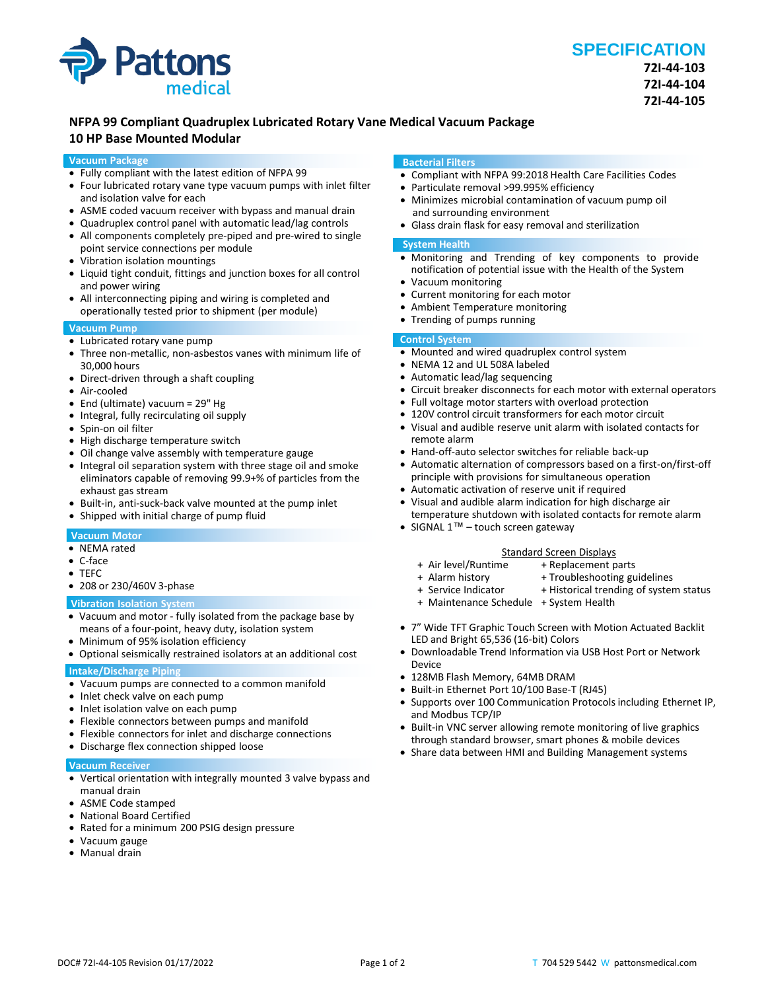

# **NFPA 99 Compliant Quadruplex Lubricated Rotary Vane Medical Vacuum Package**

# **10 HP Base Mounted Modular**

#### **Vacuum Package**

- Fully compliant with the latest edition of NFPA 99
- Four lubricated rotary vane type vacuum pumps with inlet filter and isolation valve for each
- ASME coded vacuum receiver with bypass and manual drain
- Quadruplex control panel with automatic lead/lag controls
- All components completely pre-piped and pre-wired to single point service connections per module
- Vibration isolation mountings
- Liquid tight conduit, fittings and junction boxes for all control and power wiring
- All interconnecting piping and wiring is completed and operationally tested prior to shipment (per module)

### **Vacuum Pump**

- Lubricated rotary vane pump
- Three non-metallic, non-asbestos vanes with minimum life of 30,000 hours
- Direct-driven through a shaft coupling
- Air-cooled
- End (ultimate) vacuum = 29" Hg
- Integral, fully recirculating oil supply
- Spin-on oil filter
- High discharge temperature switch
- Oil change valve assembly with temperature gauge
- Integral oil separation system with three stage oil and smoke eliminators capable of removing 99.9+% of particles from the exhaust gas stream
- Built-in, anti-suck-back valve mounted at the pump inlet
- Shipped with initial charge of pump fluid

# **Vacuum Motor**

- NEMA rated
- C-face
- TEFC
- 208 or 230/460V 3-phase

#### **Vibration Isolation System**

- Vacuum and motor fully isolated from the package base by means of a four-point, heavy duty, isolation system
- Minimum of 95% isolation efficiency
- Optional seismically restrained isolators at an additional cost

# **Intake/Discharge Piping**

- Vacuum pumps are connected to a common manifold
- Inlet check valve on each pump
- Inlet isolation valve on each pump
- Flexible connectors between pumps and manifold
- Flexible connectors for inlet and discharge connections
- Discharge flex connection shipped loose

#### **Vacuum Receiver**

- Vertical orientation with integrally mounted 3 valve bypass and manual drain
- ASME Code stamped
- National Board Certified
- Rated for a minimum 200 PSIG design pressure
- Vacuum gauge
- Manual drain

#### **Bacterial Filters**

- Compliant with NFPA 99:2018 Health Care Facilities Codes
- Particulate removal >99.995% efficiency
- Minimizes microbial contamination of vacuum pump oil and surrounding environment
- Glass drain flask for easy removal and sterilization

#### **System Health**

- Monitoring and Trending of key components to provide notification of potential issue with the Health of the System
- Vacuum monitoring
- Current monitoring for each motor
- Ambient Temperature monitoring
- Trending of pumps running

## **Control System**

- Mounted and wired quadruplex control system
- NEMA 12 and UL 508A labeled
- Automatic lead/lag sequencing
- Circuit breaker disconnects for each motor with external operators
- Full voltage motor starters with overload protection
- 120V control circuit transformers for each motor circuit
- Visual and audible reserve unit alarm with isolated contacts for remote alarm
- Hand-off-auto selector switches for reliable back-up
- Automatic alternation of compressors based on a first-on/first-off principle with provisions for simultaneous operation
- Automatic activation of reserve unit if required
- Visual and audible alarm indication for high discharge air temperature shutdown with isolated contacts for remote alarm
- SIGNAL 1<sup>™</sup> touch screen gateway

#### Standard Screen Displays<br>Air level/Runtime + Replacement p + Replacement parts

- -
- + Alarm history + Troubleshooting guidelines<br>+ Service Indicator + Historical trending of syster + Historical trending of system status
- 
- + Maintenance Schedule + System Health
- 7" Wide TFT Graphic Touch Screen with Motion Actuated Backlit LED and Bright 65,536 (16-bit) Colors
- Downloadable Trend Information via USB Host Port or Network Device
- 128MB Flash Memory, 64MB DRAM
- Built-in Ethernet Port 10/100 Base-T (RJ45)
- Supports over 100 Communication Protocols including Ethernet IP, and Modbus TCP/IP
- Built-in VNC server allowing remote monitoring of live graphics through standard browser, smart phones & mobile devices
- Share data between HMI and Building Management systems